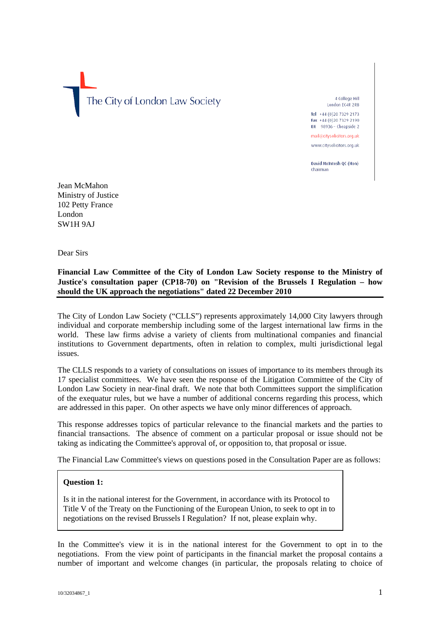The City of London Law Society

4 College Hill London EC4R 2RB Tel +44 (0) 20 7329 2173

Fax +44 (0)20 7329 2190 DX 98936 - Cheapside 2 mail@citysolicitors.org.uk

www.citysolicitors.org.uk

David McIntosh OC (Hon) Chairman

Jean McMahon Ministry of Justice 102 Petty France London SW1H 9AJ

Dear Sirs

# **Financial Law Committee of the City of London Law Society response to the Ministry of Justice's consultation paper (CP18-70) on "Revision of the Brussels I Regulation – how should the UK approach the negotiations" dated 22 December 2010**

The City of London Law Society ("CLLS") represents approximately 14,000 City lawyers through individual and corporate membership including some of the largest international law firms in the world. These law firms advise a variety of clients from multinational companies and financial institutions to Government departments, often in relation to complex, multi jurisdictional legal issues.

The CLLS responds to a variety of consultations on issues of importance to its members through its 17 specialist committees. We have seen the response of the Litigation Committee of the City of London Law Society in near-final draft. We note that both Committees support the simplification of the exequatur rules, but we have a number of additional concerns regarding this process, which are addressed in this paper. On other aspects we have only minor differences of approach.

This response addresses topics of particular relevance to the financial markets and the parties to financial transactions. The absence of comment on a particular proposal or issue should not be taking as indicating the Committee's approval of, or opposition to, that proposal or issue.

The Financial Law Committee's views on questions posed in the Consultation Paper are as follows:

# **Question 1:**

Is it in the national interest for the Government, in accordance with its Protocol to Title V of the Treaty on the Functioning of the European Union, to seek to opt in to negotiations on the revised Brussels I Regulation? If not, please explain why.

In the Committee's view it is in the national interest for the Government to opt in to the negotiations. From the view point of participants in the financial market the proposal contains a number of important and welcome changes (in particular, the proposals relating to choice of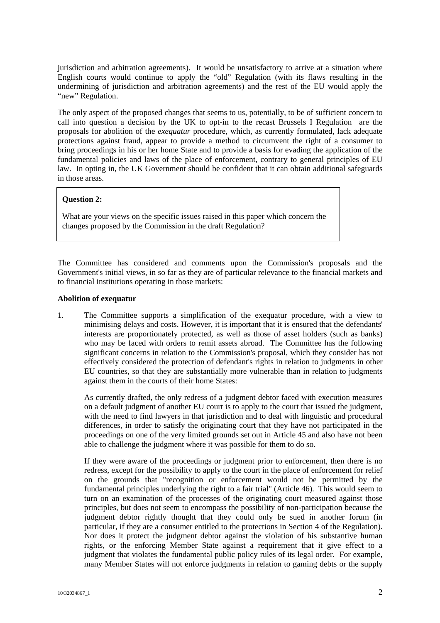jurisdiction and arbitration agreements). It would be unsatisfactory to arrive at a situation where English courts would continue to apply the "old" Regulation (with its flaws resulting in the undermining of jurisdiction and arbitration agreements) and the rest of the EU would apply the "new" Regulation.

The only aspect of the proposed changes that seems to us, potentially, to be of sufficient concern to call into question a decision by the UK to opt-in to the recast Brussels I Regulation are the proposals for abolition of the *exequatur* procedure, which, as currently formulated, lack adequate protections against fraud, appear to provide a method to circumvent the right of a consumer to bring proceedings in his or her home State and to provide a basis for evading the application of the fundamental policies and laws of the place of enforcement, contrary to general principles of EU law. In opting in, the UK Government should be confident that it can obtain additional safeguards in those areas.

# **Question 2:**

What are your views on the specific issues raised in this paper which concern the changes proposed by the Commission in the draft Regulation?

The Committee has considered and comments upon the Commission's proposals and the Government's initial views, in so far as they are of particular relevance to the financial markets and to financial institutions operating in those markets:

## **Abolition of exequatur**

1. The Committee supports a simplification of the exequatur procedure, with a view to minimising delays and costs. However, it is important that it is ensured that the defendants' interests are proportionately protected, as well as those of asset holders (such as banks) who may be faced with orders to remit assets abroad. The Committee has the following significant concerns in relation to the Commission's proposal, which they consider has not effectively considered the protection of defendant's rights in relation to judgments in other EU countries, so that they are substantially more vulnerable than in relation to judgments against them in the courts of their home States:

As currently drafted, the only redress of a judgment debtor faced with execution measures on a default judgment of another EU court is to apply to the court that issued the judgment, with the need to find lawyers in that jurisdiction and to deal with linguistic and procedural differences, in order to satisfy the originating court that they have not participated in the proceedings on one of the very limited grounds set out in Article 45 and also have not been able to challenge the judgment where it was possible for them to do so.

If they were aware of the proceedings or judgment prior to enforcement, then there is no redress, except for the possibility to apply to the court in the place of enforcement for relief on the grounds that "recognition or enforcement would not be permitted by the fundamental principles underlying the right to a fair trial" (Article 46). This would seem to turn on an examination of the processes of the originating court measured against those principles, but does not seem to encompass the possibility of non-participation because the judgment debtor rightly thought that they could only be sued in another forum (in particular, if they are a consumer entitled to the protections in Section 4 of the Regulation). Nor does it protect the judgment debtor against the violation of his substantive human rights, or the enforcing Member State against a requirement that it give effect to a judgment that violates the fundamental public policy rules of its legal order. For example, many Member States will not enforce judgments in relation to gaming debts or the supply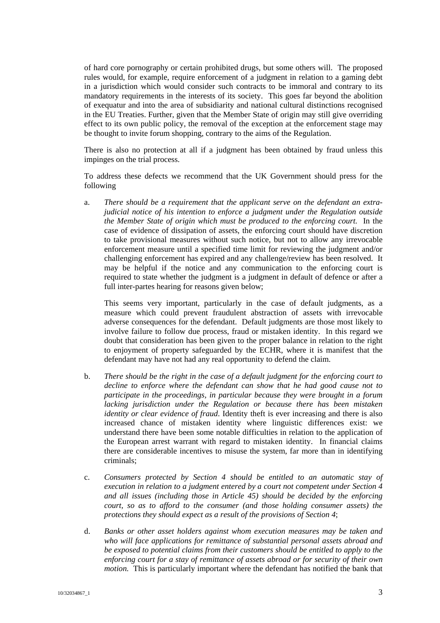of hard core pornography or certain prohibited drugs, but some others will. The proposed rules would, for example, require enforcement of a judgment in relation to a gaming debt in a jurisdiction which would consider such contracts to be immoral and contrary to its mandatory requirements in the interests of its society. This goes far beyond the abolition of exequatur and into the area of subsidiarity and national cultural distinctions recognised in the EU Treaties. Further, given that the Member State of origin may still give overriding effect to its own public policy, the removal of the exception at the enforcement stage may be thought to invite forum shopping, contrary to the aims of the Regulation.

There is also no protection at all if a judgment has been obtained by fraud unless this impinges on the trial process.

To address these defects we recommend that the UK Government should press for the following

a. *There should be a requirement that the applicant serve on the defendant an extrajudicial notice of his intention to enforce a judgment under the Regulation outside the Member State of origin which must be produced to the enforcing court.* In the case of evidence of dissipation of assets, the enforcing court should have discretion to take provisional measures without such notice, but not to allow any irrevocable enforcement measure until a specified time limit for reviewing the judgment and/or challenging enforcement has expired and any challenge/review has been resolved. It may be helpful if the notice and any communication to the enforcing court is required to state whether the judgment is a judgment in default of defence or after a full inter-partes hearing for reasons given below;

This seems very important, particularly in the case of default judgments, as a measure which could prevent fraudulent abstraction of assets with irrevocable adverse consequences for the defendant. Default judgments are those most likely to involve failure to follow due process, fraud or mistaken identity. In this regard we doubt that consideration has been given to the proper balance in relation to the right to enjoyment of property safeguarded by the ECHR, where it is manifest that the defendant may have not had any real opportunity to defend the claim.

- b. *There should be the right in the case of a default judgment for the enforcing court to decline to enforce where the defendant can show that he had good cause not to participate in the proceedings, in particular because they were brought in a forum lacking jurisdiction under the Regulation or because there has been mistaken identity or clear evidence of fraud*. Identity theft is ever increasing and there is also increased chance of mistaken identity where linguistic differences exist: we understand there have been some notable difficulties in relation to the application of the European arrest warrant with regard to mistaken identity. In financial claims there are considerable incentives to misuse the system, far more than in identifying criminals;
- c. *Consumers protected by Section 4 should be entitled to an automatic stay of execution in relation to a judgment entered by a court not competent under Section 4 and all issues (including those in Article 45) should be decided by the enforcing court, so as to afford to the consumer (and those holding consumer assets) the protections they should expect as a result of the provisions of Section 4*;
- d. *Banks or other asset holders against whom execution measures may be taken and who will face applications for remittance of substantial personal assets abroad and be exposed to potential claims from their customers should be entitled to apply to the enforcing court for a stay of remittance of assets abroad or for security of their own motion.* This is particularly important where the defendant has notified the bank that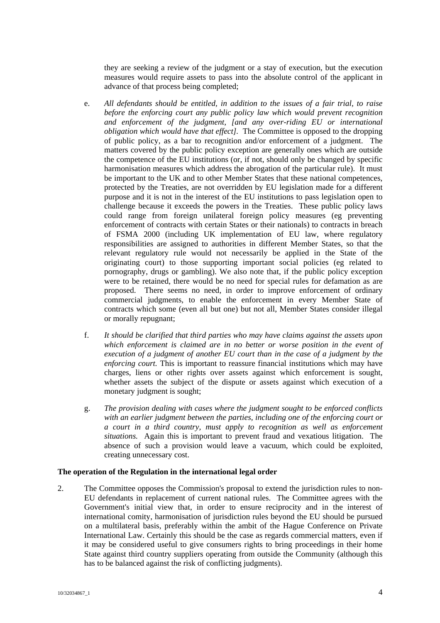they are seeking a review of the judgment or a stay of execution, but the execution measures would require assets to pass into the absolute control of the applicant in advance of that process being completed;

- e. *All defendants should be entitled, in addition to the issues of a fair trial, to raise before the enforcing court any public policy law which would prevent recognition and enforcement of the judgment, [and any over-riding EU or international obligation which would have that effect].* The Committee is opposed to the dropping of public policy, as a bar to recognition and/or enforcement of a judgment. The matters covered by the public policy exception are generally ones which are outside the competence of the EU institutions (or, if not, should only be changed by specific harmonisation measures which address the abrogation of the particular rule). It must be important to the UK and to other Member States that these national competences, protected by the Treaties, are not overridden by EU legislation made for a different purpose and it is not in the interest of the EU institutions to pass legislation open to challenge because it exceeds the powers in the Treaties. These public policy laws could range from foreign unilateral foreign policy measures (eg preventing enforcement of contracts with certain States or their nationals) to contracts in breach of FSMA 2000 (including UK implementation of EU law, where regulatory responsibilities are assigned to authorities in different Member States, so that the relevant regulatory rule would not necessarily be applied in the State of the originating court) to those supporting important social policies (eg related to pornography, drugs or gambling). We also note that, if the public policy exception were to be retained, there would be no need for special rules for defamation as are proposed. There seems no need, in order to improve enforcement of ordinary commercial judgments, to enable the enforcement in every Member State of contracts which some (even all but one) but not all, Member States consider illegal or morally repugnant;
- f. *It should be clarified that third parties who may have claims against the assets upon which enforcement is claimed are in no better or worse position in the event of execution of a judgment of another EU court than in the case of a judgment by the enforcing court.* This is important to reassure financial institutions which may have charges, liens or other rights over assets against which enforcement is sought, whether assets the subject of the dispute or assets against which execution of a monetary judgment is sought;
- g. *The provision dealing with cases where the judgment sought to be enforced conflicts with an earlier judgment between the parties, including one of the enforcing court or a court in a third country, must apply to recognition as well as enforcement situations.* Again this is important to prevent fraud and vexatious litigation. The absence of such a provision would leave a vacuum, which could be exploited, creating unnecessary cost.

#### **The operation of the Regulation in the international legal order**

2. The Committee opposes the Commission's proposal to extend the jurisdiction rules to non-EU defendants in replacement of current national rules. The Committee agrees with the Government's initial view that, in order to ensure reciprocity and in the interest of international comity, harmonisation of jurisdiction rules beyond the EU should be pursued on a multilateral basis, preferably within the ambit of the Hague Conference on Private International Law. Certainly this should be the case as regards commercial matters, even if it may be considered useful to give consumers rights to bring proceedings in their home State against third country suppliers operating from outside the Community (although this has to be balanced against the risk of conflicting judgments).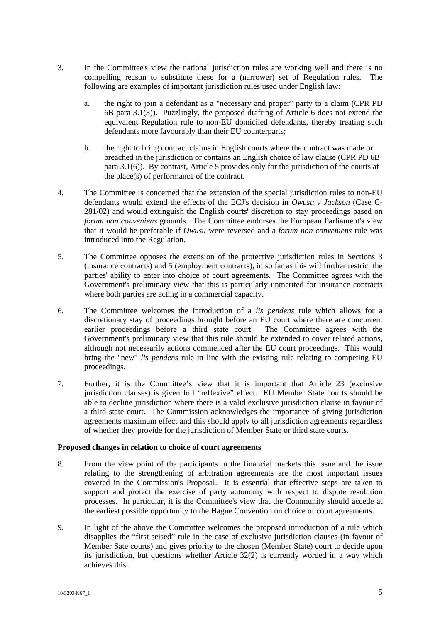- 3. In the Committee's view the national jurisdiction rules are working well and there is no compelling reason to substitute these for a (narrower) set of Regulation rules. The following are examples of important jurisdiction rules used under English law:
	- a. the right to join a defendant as a "necessary and proper" party to a claim (CPR PD 6B para 3.1(3)). Puzzlingly, the proposed drafting of Article 6 does not extend the equivalent Regulation rule to non-EU domiciled defendants, thereby treating such defendants more favourably than their EU counterparts;
	- b. the right to bring contract claims in English courts where the contract was made or breached in the jurisdiction or contains an English choice of law clause (CPR PD 6B para 3.1(6)). By contrast, Article 5 provides only for the jurisdiction of the courts at the place(s) of performance of the contract.
- 4. The Committee is concerned that the extension of the special jurisdiction rules to non-EU defendants would extend the effects of the ECJ's decision in *Owusu v Jackson* (Case C-281/02) and would extinguish the English courts' discretion to stay proceedings based on *forum non conveniens* grounds. The Committee endorses the European Parliament's view that it would be preferable if *Owusu* were reversed and a *forum non conveniens* rule was introduced into the Regulation.
- 5. The Committee opposes the extension of the protective jurisdiction rules in Sections 3 (insurance contracts) and 5 (employment contracts), in so far as this will further restrict the parties' ability to enter into choice of court agreements. The Committee agrees with the Government's preliminary view that this is particularly unmerited for insurance contracts where both parties are acting in a commercial capacity.
- 6. The Committee welcomes the introduction of a *lis pendens* rule which allows for a discretionary stay of proceedings brought before an EU court where there are concurrent earlier proceedings before a third state court. The Committee agrees with the Government's preliminary view that this rule should be extended to cover related actions, although not necessarily actions commenced after the EU court proceedings. This would bring the "new" *lis pendens* rule in line with the existing rule relating to competing EU proceedings.
- 7. Further, it is the Committee's view that it is important that Article 23 (exclusive jurisdiction clauses) is given full "reflexive" effect. EU Member State courts should be able to decline jurisdiction where there is a valid exclusive jurisdiction clause in favour of a third state court. The Commission acknowledges the importance of giving jurisdiction agreements maximum effect and this should apply to all jurisdiction agreements regardless of whether they provide for the jurisdiction of Member State or third state courts.

# **Proposed changes in relation to choice of court agreements**

- 8. From the view point of the participants in the financial markets this issue and the issue relating to the strengthening of arbitration agreements are the most important issues covered in the Commission's Proposal. It is essential that effective steps are taken to support and protect the exercise of party autonomy with respect to dispute resolution processes. In particular, it is the Committee's view that the Community should accede at the earliest possible opportunity to the Hague Convention on choice of court agreements.
- 9. In light of the above the Committee welcomes the proposed introduction of a rule which disapplies the "first seised" rule in the case of exclusive jurisdiction clauses (in favour of Member Sate courts) and gives priority to the chosen (Member State) court to decide upon its jurisdiction, but questions whether Article 32(2) is currently worded in a way which achieves this.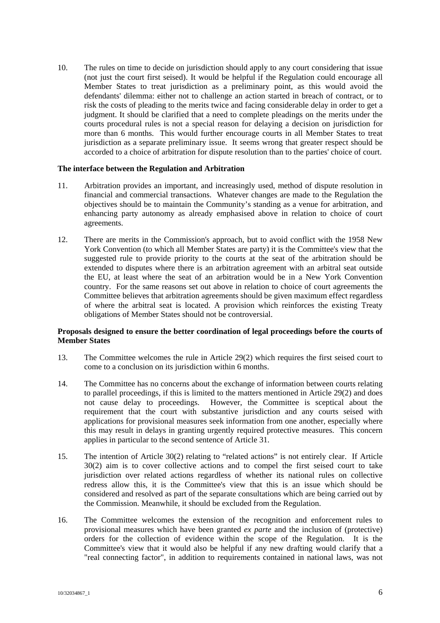10. The rules on time to decide on jurisdiction should apply to any court considering that issue (not just the court first seised). It would be helpful if the Regulation could encourage all Member States to treat jurisdiction as a preliminary point, as this would avoid the defendants' dilemma: either not to challenge an action started in breach of contract, or to risk the costs of pleading to the merits twice and facing considerable delay in order to get a judgment. It should be clarified that a need to complete pleadings on the merits under the courts procedural rules is not a special reason for delaying a decision on jurisdiction for more than 6 months. This would further encourage courts in all Member States to treat jurisdiction as a separate preliminary issue. It seems wrong that greater respect should be accorded to a choice of arbitration for dispute resolution than to the parties' choice of court.

## **The interface between the Regulation and Arbitration**

- 11. Arbitration provides an important, and increasingly used, method of dispute resolution in financial and commercial transactions. Whatever changes are made to the Regulation the objectives should be to maintain the Community's standing as a venue for arbitration, and enhancing party autonomy as already emphasised above in relation to choice of court agreements.
- 12. There are merits in the Commission's approach, but to avoid conflict with the 1958 New York Convention (to which all Member States are party) it is the Committee's view that the suggested rule to provide priority to the courts at the seat of the arbitration should be extended to disputes where there is an arbitration agreement with an arbitral seat outside the EU, at least where the seat of an arbitration would be in a New York Convention country. For the same reasons set out above in relation to choice of court agreements the Committee believes that arbitration agreements should be given maximum effect regardless of where the arbitral seat is located. A provision which reinforces the existing Treaty obligations of Member States should not be controversial.

# **Proposals designed to ensure the better coordination of legal proceedings before the courts of Member States**

- 13. The Committee welcomes the rule in Article 29(2) which requires the first seised court to come to a conclusion on its jurisdiction within 6 months.
- 14. The Committee has no concerns about the exchange of information between courts relating to parallel proceedings, if this is limited to the matters mentioned in Article 29(2) and does not cause delay to proceedings. However, the Committee is sceptical about the requirement that the court with substantive jurisdiction and any courts seised with applications for provisional measures seek information from one another, especially where this may result in delays in granting urgently required protective measures. This concern applies in particular to the second sentence of Article 31.
- 15. The intention of Article 30(2) relating to "related actions" is not entirely clear. If Article 30(2) aim is to cover collective actions and to compel the first seised court to take jurisdiction over related actions regardless of whether its national rules on collective redress allow this, it is the Committee's view that this is an issue which should be considered and resolved as part of the separate consultations which are being carried out by the Commission. Meanwhile, it should be excluded from the Regulation.
- 16. The Committee welcomes the extension of the recognition and enforcement rules to provisional measures which have been granted *ex parte* and the inclusion of (protective) orders for the collection of evidence within the scope of the Regulation. It is the Committee's view that it would also be helpful if any new drafting would clarify that a "real connecting factor", in addition to requirements contained in national laws, was not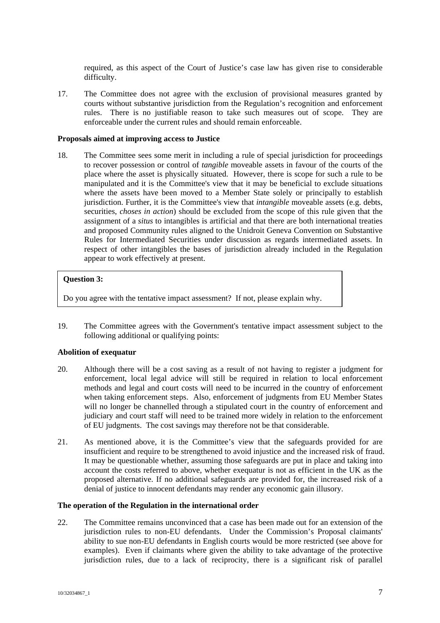required, as this aspect of the Court of Justice's case law has given rise to considerable difficulty.

17. The Committee does not agree with the exclusion of provisional measures granted by courts without substantive jurisdiction from the Regulation's recognition and enforcement rules. There is no justifiable reason to take such measures out of scope. They are enforceable under the current rules and should remain enforceable.

## **Proposals aimed at improving access to Justice**

18. The Committee sees some merit in including a rule of special jurisdiction for proceedings to recover possession or control of *tangible* moveable assets in favour of the courts of the place where the asset is physically situated. However, there is scope for such a rule to be manipulated and it is the Committee's view that it may be beneficial to exclude situations where the assets have been moved to a Member State solely or principally to establish jurisdiction. Further, it is the Committee's view that *intangible* moveable assets (e.g. debts, securities, *choses in action*) should be excluded from the scope of this rule given that the assignment of a *situs* to intangibles is artificial and that there are both international treaties and proposed Community rules aligned to the Unidroit Geneva Convention on Substantive Rules for Intermediated Securities under discussion as regards intermediated assets. In respect of other intangibles the bases of jurisdiction already included in the Regulation appear to work effectively at present.

## **Question 3:**

19. Do you agree with the tentative impact assessment? If not, please explain why.

19. The Committee agrees with the Government's tentative impact assessment subject to the following additional or qualifying points:

# **Abolition of exequatur**

- 20. Although there will be a cost saving as a result of not having to register a judgment for enforcement, local legal advice will still be required in relation to local enforcement methods and legal and court costs will need to be incurred in the country of enforcement when taking enforcement steps. Also, enforcement of judgments from EU Member States will no longer be channelled through a stipulated court in the country of enforcement and judiciary and court staff will need to be trained more widely in relation to the enforcement of EU judgments. The cost savings may therefore not be that considerable.
- 21. As mentioned above, it is the Committee's view that the safeguards provided for are insufficient and require to be strengthened to avoid injustice and the increased risk of fraud. It may be questionable whether, assuming those safeguards are put in place and taking into account the costs referred to above, whether exequatur is not as efficient in the UK as the proposed alternative. If no additional safeguards are provided for, the increased risk of a denial of justice to innocent defendants may render any economic gain illusory.

## **The operation of the Regulation in the international order**

22. The Committee remains unconvinced that a case has been made out for an extension of the jurisdiction rules to non-EU defendants. Under the Commission's Proposal claimants' ability to sue non-EU defendants in English courts would be more restricted (see above for examples). Even if claimants where given the ability to take advantage of the protective jurisdiction rules, due to a lack of reciprocity, there is a significant risk of parallel